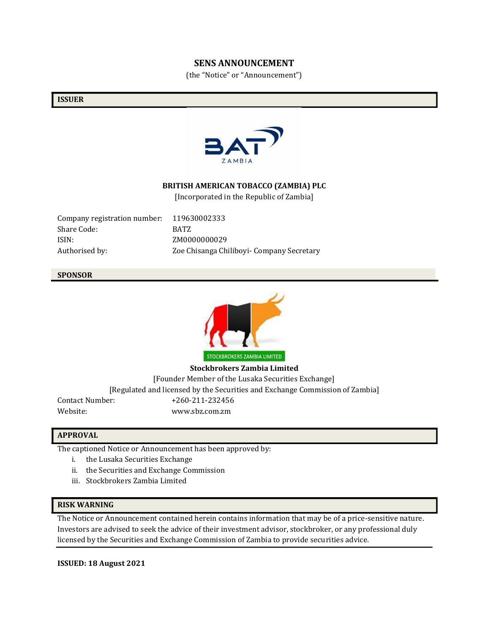## **SENS ANNOUNCEMENT**

(the "Notice" or "Announcement")

#### **ISSUER**



### **BRITISH AMERICAN TOBACCO (ZAMBIA) PLC**

[Incorporated in the Republic of Zambia]

Company registration number: 119630002333 Share Code: BATZ ISIN: ZM0000000029

Authorised by: Zoe Chisanga Chiliboyi- Company Secretary

### **SPONSOR**



**Stockbrokers Zambia Limited** [Founder Member of the Lusaka Securities Exchange] [Regulated and licensed by the Securities and Exchange Commission of Zambia] Contact Number: +260-211-232456 Website: www.sbz.com.zm

## **APPROVAL**

The captioned Notice or Announcement has been approved by:

- i. the Lusaka Securities Exchange
- ii. the Securities and Exchange Commission
- iii. Stockbrokers Zambia Limited

## **RISK WARNING**

The Notice or Announcement contained herein contains information that may be of a price-sensitive nature. Investors are advised to seek the advice of their investment advisor, stockbroker, or any professional duly licensed by the Securities and Exchange Commission of Zambia to provide securities advice.

**ISSUED: 18 August 2021**